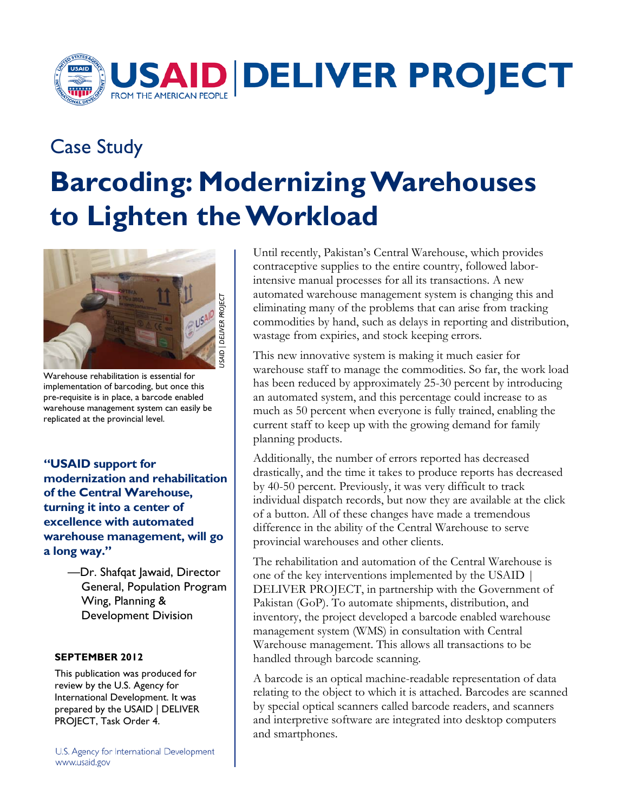

## Case Study **Barcoding: Modernizing Warehouses to Lighten the Workload**



Warehouse rehabilitation is essential for implementation of barcoding, but once this pre-requisite is in place, a barcode enabled warehouse management system can easily be replicated at the provincial level.

of the Central Warehouse.  **of the Central Warehouse, turning it into a center of "USAID support for modernization and rehabilitation excellence with automated warehouse management, will go a long way."** 

> —Dr. Shafqat Jawaid, Director General, Population Program Wing, Planning & Development Division

## **SEPTEMBER 2012**

 International Development. It was This publication was produced for review by the U.S. Agency for prepared by the USAID | DELIVER PROJECT, Task Order 4.

U.S. Agency for International Development www.usaid.gov

Until recently, Pakistan's Central Warehouse, which provides contraceptive supplies to the entire country, followed laborintensive manual processes for all its transactions. A new automated warehouse management system is changing this and eliminating many of the problems that can arise from tracking commodities by hand, such as delays in reporting and distribution, wastage from expiries, and stock keeping errors.

 much as 50 percent when everyone is fully trained, enabling the This new innovative system is making it much easier for warehouse staff to manage the commodities. So far, the work load has been reduced by approximately 25-30 percent by introducing an automated system, and this percentage could increase to as current staff to keep up with the growing demand for family planning products.

provincial warehouses and other clients. Additionally, the number of errors reported has decreased drastically, and the time it takes to produce reports has decreased by 40-50 percent. Previously, it was very difficult to track individual dispatch records, but now they are available at the click of a button. All of these changes have made a tremendous difference in the ability of the Central Warehouse to serve

 inventory, the project developed a barcode enabled warehouse handled through barcode scanning. The rehabilitation and automation of the Central Warehouse is one of the key interventions implemented by the USAID | DELIVER PROJECT, in partnership with the Government of Pakistan (GoP). To automate shipments, distribution, and management system (WMS) in consultation with Central Warehouse management. This allows all transactions to be

 and smartphones. A barcode is an optical machine-readable representation of data relating to the object to which it is attached. Barcodes are scanned by special optical scanners called barcode readers, and scanners and interpretive software are integrated into desktop computers